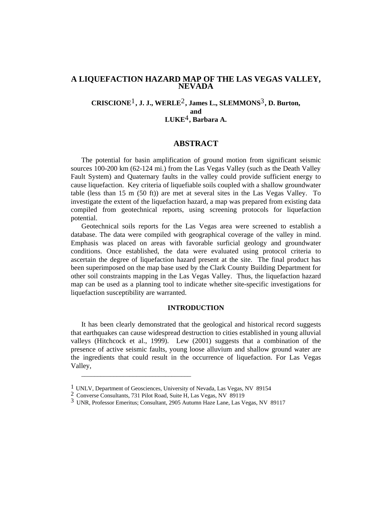# **A LIQUEFACTION HAZARD MAP OF THE LAS VEGAS VALLEY, NEVADA**

# **CRISCIONE**1**, J. J., WERLE**2**, James L., SLEMMONS**3**, D. Burton, and LUKE**4**, Barbara A.**

# **ABSTRACT**

The potential for basin amplification of ground motion from significant seismic sources 100-200 km (62-124 mi.) from the Las Vegas Valley (such as the Death Valley Fault System) and Quaternary faults in the valley could provide sufficient energy to cause liquefaction. Key criteria of liquefiable soils coupled with a shallow groundwater table (less than 15 m (50 ft)) are met at several sites in the Las Vegas Valley. To investigate the extent of the liquefaction hazard, a map was prepared from existing data compiled from geotechnical reports, using screening protocols for liquefaction potential.

Geotechnical soils reports for the Las Vegas area were screened to establish a database. The data were compiled with geographical coverage of the valley in mind. Emphasis was placed on areas with favorable surficial geology and groundwater conditions. Once established, the data were evaluated using protocol criteria to ascertain the degree of liquefaction hazard present at the site. The final product has been superimposed on the map base used by the Clark County Building Department for other soil constraints mapping in the Las Vegas Valley. Thus, the liquefaction hazard map can be used as a planning tool to indicate whether site-specific investigations for liquefaction susceptibility are warranted.

#### **INTRODUCTION**

It has been clearly demonstrated that the geological and historical record suggests that earthquakes can cause widespread destruction to cities established in young alluvial valleys (Hitchcock et al., 1999). Lew (2001) suggests that a combination of the presence of active seismic faults, young loose alluvium and shallow ground water are the ingredients that could result in the occurrence of liquefaction. For Las Vegas Valley,

\_\_\_\_\_\_\_\_\_\_\_\_\_\_\_\_\_\_\_\_\_\_\_\_\_\_\_\_\_\_\_\_\_\_

<sup>1</sup> UNLV, Department of Geosciences, University of Nevada, Las Vegas, NV 89154

<sup>2</sup> Converse Consultants, 731 Pilot Road, Suite H, Las Vegas, NV 89119

<sup>3</sup> UNR, Professor Emeritus; Consultant, 2905 Autumn Haze Lane, Las Vegas, NV 89117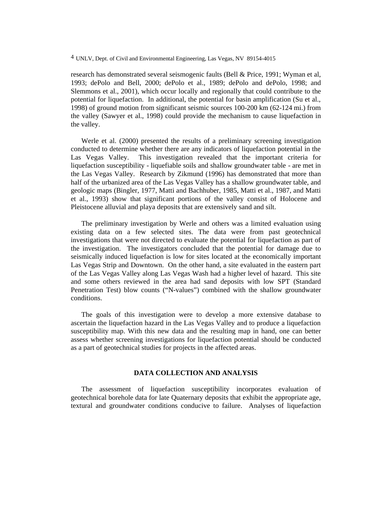<sup>4</sup> UNLV, Dept. of Civil and Environmental Engineering, Las Vegas, NV 89154-4015

research has demonstrated several seismogenic faults (Bell & Price, 1991; Wyman et al, 1993; dePolo and Bell, 2000; dePolo et al., 1989; dePolo and dePolo, 1998; and Slemmons et al., 2001), which occur locally and regionally that could contribute to the potential for liquefaction. In additional, the potential for basin amplification (Su et al., 1998) of ground motion from significant seismic sources 100-200 km (62-124 mi.) from the valley (Sawyer et al., 1998) could provide the mechanism to cause liquefaction in the valley.

Werle et al. (2000) presented the results of a preliminary screening investigation conducted to determine whether there are any indicators of liquefaction potential in the Las Vegas Valley. This investigation revealed that the important criteria for liquefaction susceptibility - liquefiable soils and shallow groundwater table - are met in the Las Vegas Valley. Research by Zikmund (1996) has demonstrated that more than half of the urbanized area of the Las Vegas Valley has a shallow groundwater table, and geologic maps (Bingler, 1977, Matti and Bachhuber, 1985, Matti et al., 1987, and Matti et al., 1993) show that significant portions of the valley consist of Holocene and Pleistocene alluvial and playa deposits that are extensively sand and silt.

The preliminary investigation by Werle and others was a limited evaluation using existing data on a few selected sites. The data were from past geotechnical investigations that were not directed to evaluate the potential for liquefaction as part of the investigation. The investigators concluded that the potential for damage due to seismically induced liquefaction is low for sites located at the economically important Las Vegas Strip and Downtown. On the other hand, a site evaluated in the eastern part of the Las Vegas Valley along Las Vegas Wash had a higher level of hazard. This site and some others reviewed in the area had sand deposits with low SPT (Standard Penetration Test) blow counts ("N-values") combined with the shallow groundwater conditions.

The goals of this investigation were to develop a more extensive database to ascertain the liquefaction hazard in the Las Vegas Valley and to produce a liquefaction susceptibility map. With this new data and the resulting map in hand, one can better assess whether screening investigations for liquefaction potential should be conducted as a part of geotechnical studies for projects in the affected areas.

## **DATA COLLECTION AND ANALYSIS**

The assessment of liquefaction susceptibility incorporates evaluation of geotechnical borehole data for late Quaternary deposits that exhibit the appropriate age, textural and groundwater conditions conducive to failure. Analyses of liquefaction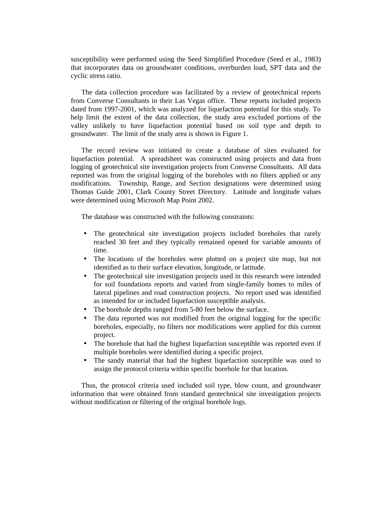susceptibility were performed using the Seed Simplified Procedure (Seed et al., 1983) that incorporates data on groundwater conditions, overburden load, SPT data and the cyclic stress ratio.

The data collection procedure was facilitated by a review of geotechnical reports from Converse Consultants in their Las Vegas office. These reports included projects dated from 1997-2001, which was analyzed for liquefaction potential for this study. To help limit the extent of the data collection, the study area excluded portions of the valley unlikely to have liquefaction potential based on soil type and depth to groundwater. The limit of the study area is shown in Figure 1.

The record review was initiated to create a database of sites evaluated for liquefaction potential. A spreadsheet was constructed using projects and data from logging of geotechnical site investigation projects from Converse Consultants. All data reported was from the original logging of the boreholes with no filters applied or any modifications. Township, Range, and Section designations were determined using Thomas Guide 2001, Clark County Street Directory. Latitude and longitude values were determined using Microsoft Map Point 2002.

The database was constructed with the following constraints:

- The geotechnical site investigation projects included boreholes that rarely reached 30 feet and they typically remained opened for variable amounts of time.
- The locations of the boreholes were plotted on a project site map, but not identified as to their surface elevation, longitude, or latitude.
- The geotechnical site investigation projects used in this research were intended for soil foundations reports and varied from single-family homes to miles of lateral pipelines and road construction projects. No report used was identified as intended for or included liquefaction susceptible analysis.
- The borehole depths ranged from 5-80 feet below the surface.
- The data reported was not modified from the original logging for the specific boreholes, especially, no filters nor modifications were applied for this current project.
- The borehole that had the highest liquefaction susceptible was reported even if multiple boreholes were identified during a specific project.
- The sandy material that had the highest liquefaction susceptible was used to assign the protocol criteria within specific borehole for that location.

Thus, the protocol criteria used included soil type, blow count, and groundwater information that were obtained from standard geotechnical site investigation projects without modification or filtering of the original borehole logs.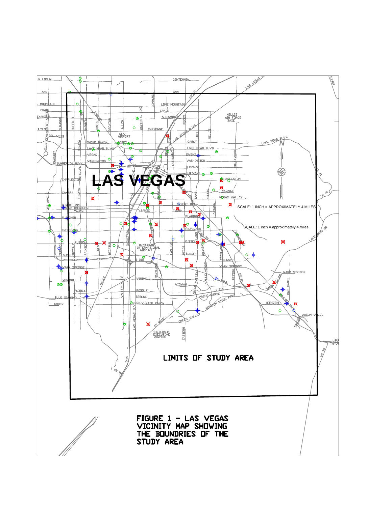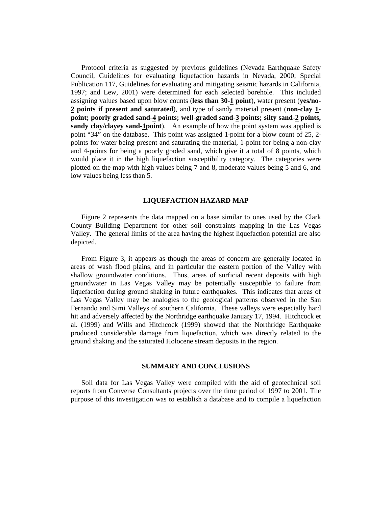Protocol criteria as suggested by previous guidelines (Nevada Earthquake Safety Council, Guidelines for evaluating liquefaction hazards in Nevada, 2000; Special Publication 117, Guidelines for evaluating and mitigating seismic hazards in California, 1997; and Lew, 2001) were determined for each selected borehole. This included assigning values based upon blow counts (**less than 30-1 point**), water present (**yes/no-2 points if present and saturated**), and type of sandy material present (**non-clay 1 point; poorly graded sand-4 points; well-graded sand-3 points; silty sand-2 points, sandy clay/clayey sand-1point**). An example of how the point system was applied is point "34" on the database. This point was assigned 1-point for a blow count of 25, 2 points for water being present and saturating the material, 1-point for being a non-clay and 4-points for being a poorly graded sand, which give it a total of 8 points, which would place it in the high liquefaction susceptibility category. The categories were plotted on the map with high values being 7 and 8, moderate values being 5 and 6, and low values being less than 5.

## **LIQUEFACTION HAZARD MAP**

Figure 2 represents the data mapped on a base similar to ones used by the Clark County Building Department for other soil constraints mapping in the Las Vegas Valley. The general limits of the area having the highest liquefaction potential are also depicted.

From Figure 3, it appears as though the areas of concern are generally located in areas of wash flood plains, and in particular the eastern portion of the Valley with shallow groundwater conditions. Thus, areas of surficial recent deposits with high groundwater in Las Vegas Valley may be potentially susceptible to failure from liquefaction during ground shaking in future earthquakes. This indicates that areas of Las Vegas Valley may be analogies to the geological patterns observed in the San Fernando and Simi Valleys of southern California. These valleys were especially hard hit and adversely affected by the Northridge earthquake January 17, 1994. Hitchcock et al. (1999) and Wills and Hitchcock (1999) showed that the Northridge Earthquake produced considerable damage from liquefaction, which was directly related to the ground shaking and the saturated Holocene stream deposits in the region.

## **SUMMARY AND CONCLUSIONS**

Soil data for Las Vegas Valley were compiled with the aid of geotechnical soil reports from Converse Consultants projects over the time period of 1997 to 2001. The purpose of this investigation was to establish a database and to compile a liquefaction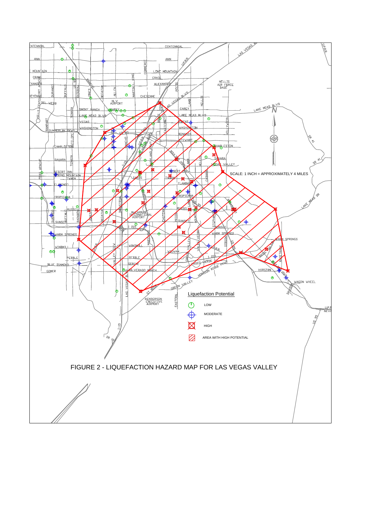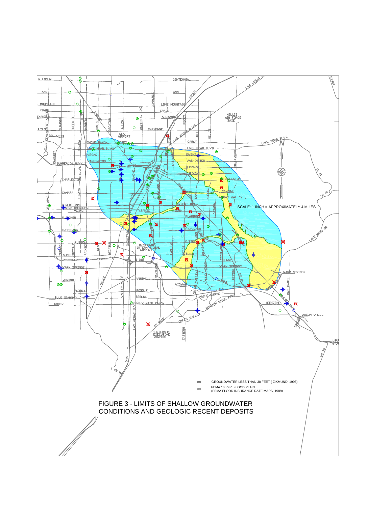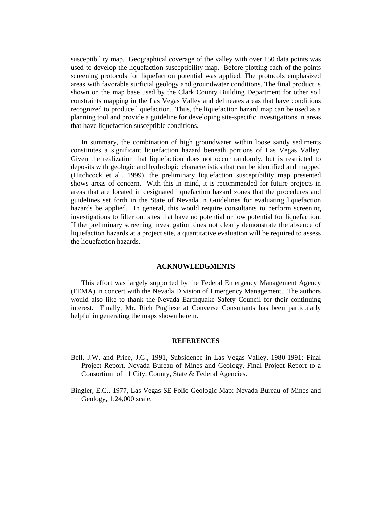susceptibility map. Geographical coverage of the valley with over 150 data points was used to develop the liquefaction susceptibility map. Before plotting each of the points screening protocols for liquefaction potential was applied. The protocols emphasized areas with favorable surficial geology and groundwater conditions. The final product is shown on the map base used by the Clark County Building Department for other soil constraints mapping in the Las Vegas Valley and delineates areas that have conditions recognized to produce liquefaction. Thus, the liquefaction hazard map can be used as a planning tool and provide a guideline for developing site-specific investigations in areas that have liquefaction susceptible conditions.

In summary, the combination of high groundwater within loose sandy sediments constitutes a significant liquefaction hazard beneath portions of Las Vegas Valley. Given the realization that liquefaction does not occur randomly, but is restricted to deposits with geologic and hydrologic characteristics that can be identified and mapped (Hitchcock et al., 1999), the preliminary liquefaction susceptibility map presented shows areas of concern. With this in mind, it is recommended for future projects in areas that are located in designated liquefaction hazard zones that the procedures and guidelines set forth in the State of Nevada in Guidelines for evaluating liquefaction hazards be applied. In general, this would require consultants to perform screening investigations to filter out sites that have no potential or low potential for liquefaction. If the preliminary screening investigation does not clearly demonstrate the absence of liquefaction hazards at a project site, a quantitative evaluation will be required to assess the liquefaction hazards.

#### **ACKNOWLEDGMENTS**

This effort was largely supported by the Federal Emergency Management Agency (FEMA) in concert with the Nevada Division of Emergency Management. The authors would also like to thank the Nevada Earthquake Safety Council for their continuing interest. Finally, Mr. Rich Pugliese at Converse Consultants has been particularly helpful in generating the maps shown herein.

#### **REFERENCES**

- Bell, J.W. and Price, J.G., 1991, Subsidence in Las Vegas Valley, 1980-1991: Final Project Report. Nevada Bureau of Mines and Geology, Final Project Report to a Consortium of 11 City, County, State & Federal Agencies.
- Bingler, E.C., 1977, Las Vegas SE Folio Geologic Map: Nevada Bureau of Mines and Geology, 1:24,000 scale.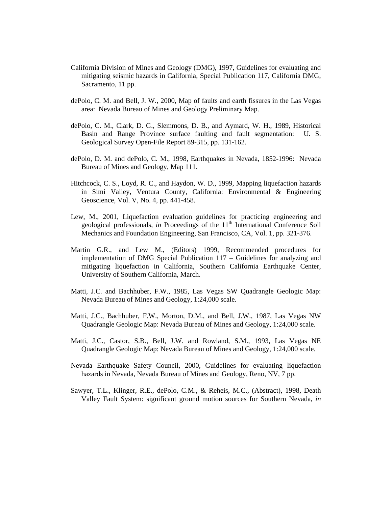- California Division of Mines and Geology (DMG), 1997, Guidelines for evaluating and mitigating seismic hazards in California, Special Publication 117, California DMG, Sacramento, 11 pp.
- dePolo, C. M. and Bell, J. W., 2000, Map of faults and earth fissures in the Las Vegas area: Nevada Bureau of Mines and Geology Preliminary Map.
- dePolo, C. M., Clark, D. G., Slemmons, D. B., and Aymard, W. H., 1989, Historical Basin and Range Province surface faulting and fault segmentation: U. S. Geological Survey Open-File Report 89-315, pp. 131-162.
- dePolo, D. M. and dePolo, C. M., 1998, Earthquakes in Nevada, 1852-1996: Nevada Bureau of Mines and Geology, Map 111.
- Hitchcock, C. S., Loyd, R. C., and Haydon, W. D., 1999, Mapping liquefaction hazards in Simi Valley, Ventura County, California: Environmental & Engineering Geoscience, Vol. V, No. 4, pp. 441-458.
- Lew, M., 2001, Liquefaction evaluation guidelines for practicing engineering and geological professionals, *in* Proceedings of the 11<sup>th</sup> International Conference Soil Mechanics and Foundation Engineering, San Francisco, CA, Vol. 1, pp. 321-376.
- Martin G.R., and Lew M., (Editors) 1999, Recommended procedures for implementation of DMG Special Publication 117 – Guidelines for analyzing and mitigating liquefaction in California, Southern California Earthquake Center, University of Southern California, March.
- Matti, J.C. and Bachhuber, F.W., 1985, Las Vegas SW Quadrangle Geologic Map: Nevada Bureau of Mines and Geology, 1:24,000 scale.
- Matti, J.C., Bachhuber, F.W., Morton, D.M., and Bell, J.W., 1987, Las Vegas NW Quadrangle Geologic Map: Nevada Bureau of Mines and Geology, 1:24,000 scale.
- Matti, J.C., Castor, S.B., Bell, J.W. and Rowland, S.M., 1993, Las Vegas NE Quadrangle Geologic Map: Nevada Bureau of Mines and Geology, 1:24,000 scale.
- Nevada Earthquake Safety Council, 2000, Guidelines for evaluating liquefaction hazards in Nevada, Nevada Bureau of Mines and Geology, Reno, NV, 7 pp.
- Sawyer, T.L., Klinger, R.E., dePolo, C.M., & Reheis, M.C., (Abstract), 1998, Death Valley Fault System: significant ground motion sources for Southern Nevada, *in*